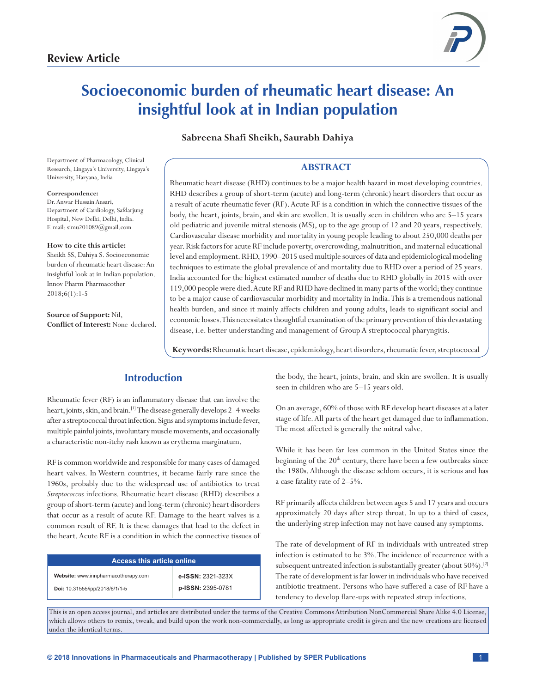

# **Socioeconomic burden of rheumatic heart disease: An insightful look at in Indian population**

**Sabreena Shafi Sheikh, Saurabh Dahiya**

Department of Pharmacology, Clinical Research, Lingaya's University, Lingaya's University, Haryana, India

#### **Correspondence:**

Dr.Anwar Hussain Ansari, Department of Cardiology, Safdarjung Hospital, New Delhi, Delhi, India. E-mail: simu201089@gmail.com

#### **How to cite this article:**

Sheikh SS, Dahiya S. Socioeconomic burden of rheumatic heart disease: An insightful look at in Indian population. Innov Pharm Pharmacother 2018;6(1):1-5

**Source of Support:** Nil, **Conflict of Interest:** None declared.

## **ABSTRACT**

Rheumatic heart disease (RHD) continues to be a major health hazard in most developing countries. RHD describes a group of short-term (acute) and long-term (chronic) heart disorders that occur as a result of acute rheumatic fever (RF). Acute RF is a condition in which the connective tissues of the body, the heart, joints, brain, and skin are swollen. It is usually seen in children who are 5–15 years old pediatric and juvenile mitral stenosis (MS), up to the age group of 12 and 20 years, respectively. Cardiovascular disease morbidity and mortality in young people leading to about 250,000 deaths per year. Risk factors for acute RF include poverty, overcrowding, malnutrition, and maternal educational level and employment. RHD, 1990–2015 used multiple sources of data and epidemiological modeling techniques to estimate the global prevalence of and mortality due to RHD over a period of 25 years. India accounted for the highest estimated number of deaths due to RHD globally in 2015 with over 119,000 people were died. Acute RF and RHD have declined in many parts of the world; they continue to be a major cause of cardiovascular morbidity and mortality in India. This is a tremendous national health burden, and since it mainly affects children and young adults, leads to significant social and economic losses. This necessitates thoughtful examination of the primary prevention of this devastating disease, i.e. better understanding and management of Group A streptococcal pharyngitis.

**Keywords:** Rheumatic heart disease, epidemiology, heart disorders, rheumatic fever, streptococcal

# **Introduction**

Rheumatic fever (RF) is an inflammatory disease that can involve the heart, joints, skin, and brain.<sup>[1]</sup> The disease generally develops 2-4 weeks after a streptococcal throat infection. Signs and symptoms include fever, multiple painful joints, involuntary muscle movements, and occasionally a characteristic non-itchy rash known as erythema marginatum.

RF is common worldwide and responsible for many cases of damaged heart valves. In Western countries, it became fairly rare since the 1960s, probably due to the widespread use of antibiotics to treat *Streptococcus* infections. Rheumatic heart disease (RHD) describes a group of short-term (acute) and long-term (chronic) heart disorders that occur as a result of acute RF. Damage to the heart valves is a common result of RF. It is these damages that lead to the defect in the heart. Acute RF is a condition in which the connective tissues of

| <b>Access this article online</b>   |                   |  |
|-------------------------------------|-------------------|--|
| Website: www.innpharmacotherapy.com | e-ISSN: 2321-323X |  |
| Doi: 10.31555/ipp/2018/6/1/1-5      | p-ISSN: 2395-0781 |  |

the body, the heart, joints, brain, and skin are swollen. It is usually seen in children who are 5–15 years old.

On an average, 60% of those with RF develop heart diseases at a later stage of life. All parts of the heart get damaged due to inflammation. The most affected is generally the mitral valve.

While it has been far less common in the United States since the beginning of the  $20<sup>th</sup>$  century, there have been a few outbreaks since the 1980s. Although the disease seldom occurs, it is serious and has a case fatality rate of 2–5%.

RF primarily affects children between ages 5 and 17 years and occurs approximately 20 days after strep throat. In up to a third of cases, the underlying strep infection may not have caused any symptoms.

The rate of development of RF in individuals with untreated strep infection is estimated to be 3%. The incidence of recurrence with a subsequent untreated infection is substantially greater (about 50%).<sup>[2]</sup> The rate of development is far lower in individuals who have received antibiotic treatment. Persons who have suffered a case of RF have a tendency to develop flare-ups with repeated strep infections.

This is an open access journal, and articles are distributed under the terms of the Creative Commons Attribution NonCommercial Share Alike 4.0 License, which allows others to remix, tweak, and build upon the work non-commercially, as long as appropriate credit is given and the new creations are licensed under the identical terms.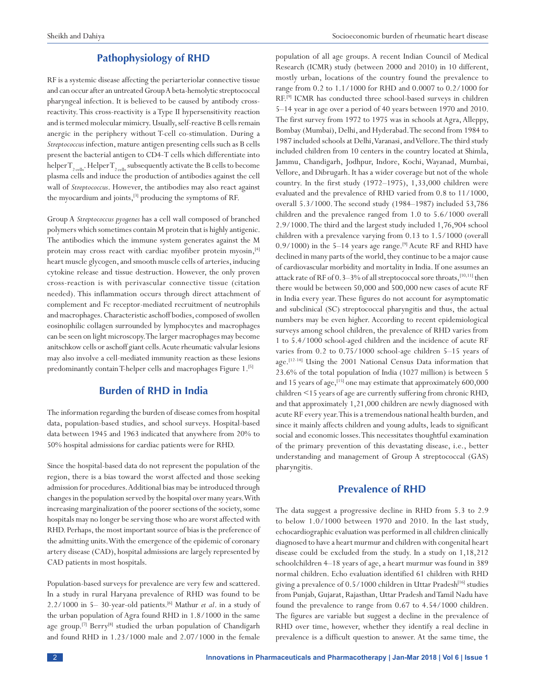population of all age groups. A recent Indian Council of Medical

## **Pathophysiology of RHD**

RF is a systemic disease affecting the periarteriolar connective tissue and can occur after an untreated GroupA beta-hemolytic streptococcal pharyngeal infection. It is believed to be caused by antibody crossreactivity. This cross-reactivity is a Type II hypersensitivity reaction and is termed molecular mimicry. Usually, self-reactive B cells remain anergic in the periphery without T-cell co-stimulation. During a *Streptococcus* infection, mature antigen presenting cells such as B cells present the bacterial antigen to CD4-T cells which differentiate into helper  $T_{2}$ <sub>cells</sub>. Helper  $T_{2}$ <sub>cells</sub> subsequently activate the B cells to become plasma cells and induce the production of antibodies against the cell wall of *Streptococcus*. However, the antibodies may also react against the myocardium and joints,<sup>[3]</sup> producing the symptoms of RF.

Group A *Streptococcus pyogenes* has a cell wall composed of branched polymers which sometimes contain M protein that is highly antigenic. The antibodies which the immune system generates against the M protein may cross react with cardiac myofiber protein myosin, $[4]$ heart muscle glycogen, and smooth muscle cells of arteries, inducing cytokine release and tissue destruction. However, the only proven cross-reaction is with perivascular connective tissue (citation needed). This inflammation occurs through direct attachment of complement and Fc receptor-mediated recruitment of neutrophils and macrophages. Characteristic aschoff bodies, composed of swollen eosinophilic collagen surrounded by lymphocytes and macrophages can be seen on light microscopy. The larger macrophages may become anitschkow cells or aschoff giant cells. Acute rheumatic valvular lesions may also involve a cell-mediated immunity reaction as these lesions predominantly contain T-helper cells and macrophages Figure 1.<sup>[5]</sup>

## **Burden of RHD in India**

The information regarding the burden of disease comes from hospital data, population-based studies, and school surveys. Hospital-based data between 1945 and 1963 indicated that anywhere from 20% to 50% hospital admissions for cardiac patients were for RHD.

Since the hospital-based data do not represent the population of the region, there is a bias toward the worst affected and those seeking admission for procedures. Additional bias may be introduced through changes in the population served by the hospital over many years. With increasing marginalization of the poorer sections of the society, some hospitals may no longer be serving those who are worst affected with RHD. Perhaps, the most important source of bias is the preference of the admitting units. With the emergence of the epidemic of coronary artery disease (CAD), hospital admissions are largely represented by CAD patients in most hospitals.

Population-based surveys for prevalence are very few and scattered. In a study in rural Haryana prevalence of RHD was found to be 2.2/1000 in 5– 30-year-old patients.[6] Mathur *et al*. in a study of the urban population of Agra found RHD in 1.8/1000 in the same age group.<sup>[7]</sup> Berry<sup>[8]</sup> studied the urban population of Chandigarh and found RHD in 1.23/1000 male and 2.07/1000 in the female Research (ICMR) study (between 2000 and 2010) in 10 different, mostly urban, locations of the country found the prevalence to range from 0.2 to 1.1/1000 for RHD and 0.0007 to 0.2/1000 for RF.[9] ICMR has conducted three school-based surveys in children 5–14 year in age over a period of 40 years between 1970 and 2010. The first survey from 1972 to 1975 was in schools at Agra, Alleppy, Bombay (Mumbai), Delhi, and Hyderabad. The second from 1984 to 1987 included schools at Delhi, Varanasi, and Vellore. The third study included children from 10 centers in the country located at Shimla, Jammu, Chandigarh, Jodhpur, Indore, Kochi, Wayanad, Mumbai, Vellore, and Dibrugarh. It has a wider coverage but not of the whole country. In the first study (1972–1975), 1,33,000 children were evaluated and the prevalence of RHD varied from 0.8 to 11/1000, overall 5.3/1000. The second study (1984–1987) included 53,786 children and the prevalence ranged from 1.0 to 5.6/1000 overall 2.9/1000. The third and the largest study included 1,76,904 school children with a prevalence varying from 0.13 to 1.5/1000 (overall  $0.9/1000$ ) in the 5–14 years age range.<sup>[9]</sup> Acute RF and RHD have declined in many parts of the world, they continue to be a major cause of cardiovascular morbidity and mortality in India. If one assumes an attack rate of RF of  $0.3\text{--}3\%$  of all streptococcal sore throats,  $^{[10,11]}$  then there would be between 50,000 and 500,000 new cases of acute RF in India every year. These figures do not account for asymptomatic and subclinical (SC) streptococcal pharyngitis and thus, the actual numbers may be even higher. According to recent epidemiological surveys among school children, the prevalence of RHD varies from 1 to 5.4/1000 school-aged children and the incidence of acute RF varies from 0.2 to 0.75/1000 school-age children 5–15 years of age.[12-14] Using the 2001 National Census Data information that 23.6% of the total population of India (1027 million) is between 5 and 15 years of age,  $^{[15]}$  one may estimate that approximately 600,000 children <15 years of age are currently suffering from chronic RHD, and that approximately 1,21,000 children are newly diagnosed with acute RF every year. This is a tremendous national health burden, and since it mainly affects children and young adults, leads to significant social and economic losses. This necessitates thoughtful examination of the primary prevention of this devastating disease, i.e., better understanding and management of Group A streptococcal (GAS) pharyngitis.

#### **Prevalence of RHD**

The data suggest a progressive decline in RHD from 5.3 to 2.9 to below 1.0/1000 between 1970 and 2010. In the last study, echocardiographic evaluation was performed in all children clinically diagnosed to have a heart murmur and children with congenital heart disease could be excluded from the study. In a study on 1,18,212 schoolchildren 4–18 years of age, a heart murmur was found in 389 normal children. Echo evaluation identified 61 children with RHD giving a prevalence of 0.5/1000 children in Uttar Pradesh<sup>[16]</sup> studies from Punjab, Gujarat, Rajasthan, Uttar Pradesh and Tamil Nadu have found the prevalence to range from 0.67 to 4.54/1000 children. The figures are variable but suggest a decline in the prevalence of RHD over time, however, whether they identify a real decline in prevalence is a difficult question to answer. At the same time, the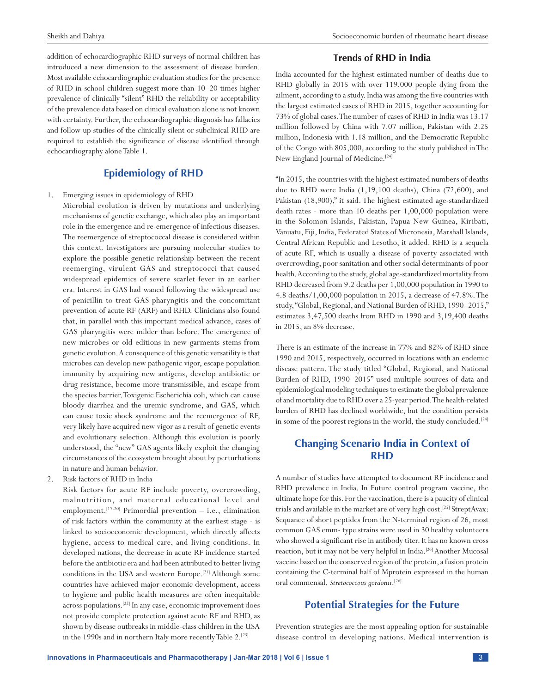addition of echocardiographic RHD surveys of normal children has introduced a new dimension to the assessment of disease burden. Most available echocardiographic evaluation studies for the presence of RHD in school children suggest more than 10–20 times higher prevalence of clinically "silent" RHD the reliability or acceptability of the prevalence data based on clinical evaluation alone is not known with certainty. Further, the echocardiographic diagnosis has fallacies and follow up studies of the clinically silent or subclinical RHD are required to establish the significance of disease identified through echocardiography alone Table 1.

# **Epidemiology of RHD**

1. Emerging issues in epidemiology of RHD

Microbial evolution is driven by mutations and underlying mechanisms of genetic exchange, which also play an important role in the emergence and re-emergence of infectious diseases. The reemergence of streptococcal disease is considered within this context. Investigators are pursuing molecular studies to explore the possible genetic relationship between the recent reemerging, virulent GAS and streptococci that caused widespread epidemics of severe scarlet fever in an earlier era. Interest in GAS had waned following the widespread use of penicillin to treat GAS pharyngitis and the concomitant prevention of acute RF (ARF) and RHD. Clinicians also found that, in parallel with this important medical advance, cases of GAS pharyngitis were milder than before. The emergence of new microbes or old editions in new garments stems from genetic evolution. A consequence of this genetic versatility is that microbes can develop new pathogenic vigor, escape population immunity by acquiring new antigens, develop antibiotic or drug resistance, become more transmissible, and escape from the species barrier. Toxigenic Escherichia coli, which can cause bloody diarrhea and the uremic syndrome, and GAS, which can cause toxic shock syndrome and the reemergence of RF, very likely have acquired new vigor as a result of genetic events and evolutionary selection. Although this evolution is poorly understood, the "new" GAS agents likely exploit the changing circumstances of the ecosystem brought about by perturbations in nature and human behavior.

2. Risk factors of RHD in India

Risk factors for acute RF include poverty, overcrowding, malnutrition, and maternal educational level and employment.<sup>[17-20]</sup> Primordial prevention  $-$  i.e., elimination of risk factors within the community at the earliest stage - is linked to socioeconomic development, which directly affects hygiene, access to medical care, and living conditions. In developed nations, the decrease in acute RF incidence started before the antibiotic era and had been attributed to better living conditions in the USA and western Europe.<sup>[21]</sup> Although some countries have achieved major economic development, access to hygiene and public health measures are often inequitable across populations.<sup>[22]</sup> In any case, economic improvement does not provide complete protection against acute RF and RHD, as shown by disease outbreaks in middle-class children in the USA in the 1990s and in northern Italy more recently Table 2.<sup>[23]</sup>

### **Trends of RHD in India**

India accounted for the highest estimated number of deaths due to RHD globally in 2015 with over 119,000 people dying from the ailment, according to a study. India was among the five countries with the largest estimated cases of RHD in 2015, together accounting for 73% of global cases. The number of cases of RHD in India was 13.17 million followed by China with 7.07 million, Pakistan with 2.25 million, Indonesia with 1.18 million, and the Democratic Republic of the Congo with 805,000, according to the study published in The New England Journal of Medicine.<sup>[24]</sup>

"In 2015, the countries with the highest estimated numbers of deaths due to RHD were India (1,19,100 deaths), China (72,600), and Pakistan (18,900)," it said. The highest estimated age-standardized death rates - more than 10 deaths per 1,00,000 population were in the Solomon Islands, Pakistan, Papua New Guinea, Kiribati, Vanuatu, Fiji, India, Federated States of Micronesia, Marshall Islands, Central African Republic and Lesotho, it added. RHD is a sequela of acute RF, which is usually a disease of poverty associated with overcrowding, poor sanitation and other social determinants of poor health. According to the study, global age-standardized mortality from RHD decreased from 9.2 deaths per 1,00,000 population in 1990 to 4.8 deaths/1,00,000 population in 2015, a decrease of 47.8%. The study, "Global, Regional, and National Burden of RHD, 1990–2015," estimates 3,47,500 deaths from RHD in 1990 and 3,19,400 deaths in 2015, an 8% decrease.

There is an estimate of the increase in 77% and 82% of RHD since 1990 and 2015, respectively, occurred in locations with an endemic disease pattern. The study titled "Global, Regional, and National Burden of RHD, 1990–2015" used multiple sources of data and epidemiological modeling techniques to estimate the global prevalence of and mortality due to RHD over a 25-year period. The health-related burden of RHD has declined worldwide, but the condition persists in some of the poorest regions in the world, the study concluded.<sup>[24]</sup>

# **Changing Scenario India in Context of RHD**

A number of studies have attempted to document RF incidence and RHD prevalence in India. In Future control program vaccine, the ultimate hope for this. For the vaccination, there is a paucity of clinical trials and available in the market are of very high cost.[25] StreptAvax: Sequance of short peptides from the N-terminal region of 26, most common GAS emm- type strains were used in 30 healthy volunteers who showed a significant rise in antibody titer. It has no known cross reaction, but it may not be very helpful in India.<sup>[26]</sup> Another Mucosal vaccine based on the conserved region of the protein, a fusion protein containing the C-terminal half of Mprotein expressed in the human oral commensal, *Stretococcous gordonii*. [26]

## **Potential Strategies for the Future**

Prevention strategies are the most appealing option for sustainable disease control in developing nations. Medical intervention is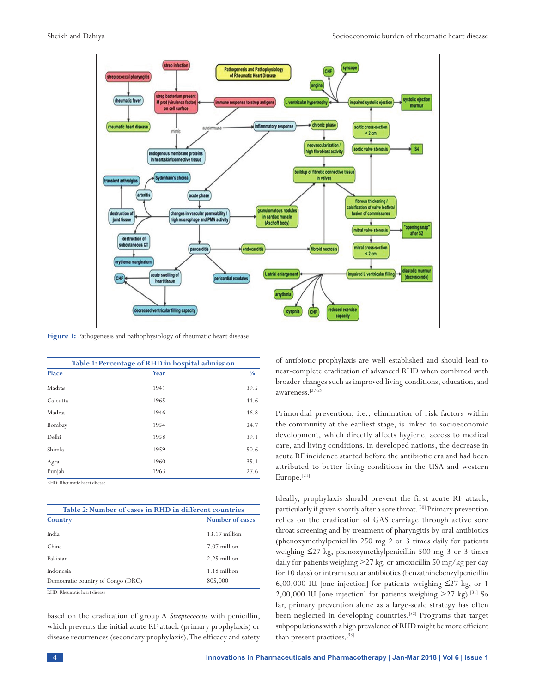

**Figure 1:** Pathogenesis and pathophysiology of rheumatic heart disease

| Table 1: Percentage of RHD in hospital admission |      |               |  |
|--------------------------------------------------|------|---------------|--|
| Place                                            | Year | $\frac{0}{0}$ |  |
| Madras                                           | 1941 | 39.5          |  |
| Calcutta                                         | 1965 | 44.6          |  |
| Madras                                           | 1946 | 46.8          |  |
| Bombay                                           | 1954 | 24.7          |  |
| Delhi                                            | 1958 | 39.1          |  |
| Shimla                                           | 1959 | 50.6          |  |
| Agra                                             | 1960 | 35.1          |  |
| Punjab                                           | 1963 | 27.6          |  |

RHD: Rheumatic heart disease

| Table 2: Number of cases in RHD in different countries |                         |  |
|--------------------------------------------------------|-------------------------|--|
| Country                                                | Number of cases         |  |
| India                                                  | $13.17$ million         |  |
| China                                                  | 7.07 million            |  |
| Pakistan                                               | 2.25 million            |  |
| Indonesia<br>Democratic country of Congo (DRC)         | 1.18 million<br>805,000 |  |

RHD: Rheumatic heart disease

based on the eradication of group A *Streptococcus* with penicillin, which prevents the initial acute RF attack (primary prophylaxis) or disease recurrences (secondary prophylaxis). The efficacy and safety of antibiotic prophylaxis are well established and should lead to near-complete eradication of advanced RHD when combined with broader changes such as improved living conditions, education, and awareness.[27-29]

Primordial prevention, i.e., elimination of risk factors within the community at the earliest stage, is linked to socioeconomic development, which directly affects hygiene, access to medical care, and living conditions. In developed nations, the decrease in acute RF incidence started before the antibiotic era and had been attributed to better living conditions in the USA and western Europe.<sup>[21]</sup>

Ideally, prophylaxis should prevent the first acute RF attack, particularly if given shortly after a sore throat.<sup>[30]</sup> Primary prevention relies on the eradication of GAS carriage through active sore throat screening and by treatment of pharyngitis by oral antibiotics (phenoxymethylpenicillin 250 mg 2 or 3 times daily for patients weighing ≤27 kg, phenoxymethylpenicillin 500 mg 3 or 3 times daily for patients weighing >27 kg; or amoxicillin 50 mg/kg per day for 10 days) or intramuscular antibiotics (benzathinebenzylpenicillin 6,00,000 IU [one injection] for patients weighing ≤27 kg, or 1 2,00,000 IU [one injection] for patients weighing  $>27$  kg).<sup>[31]</sup> So far, primary prevention alone as a large-scale strategy has often been neglected in developing countries.[32] Programs that target subpopulations with a high prevalence of RHD might be more efficient than present practices.[33]